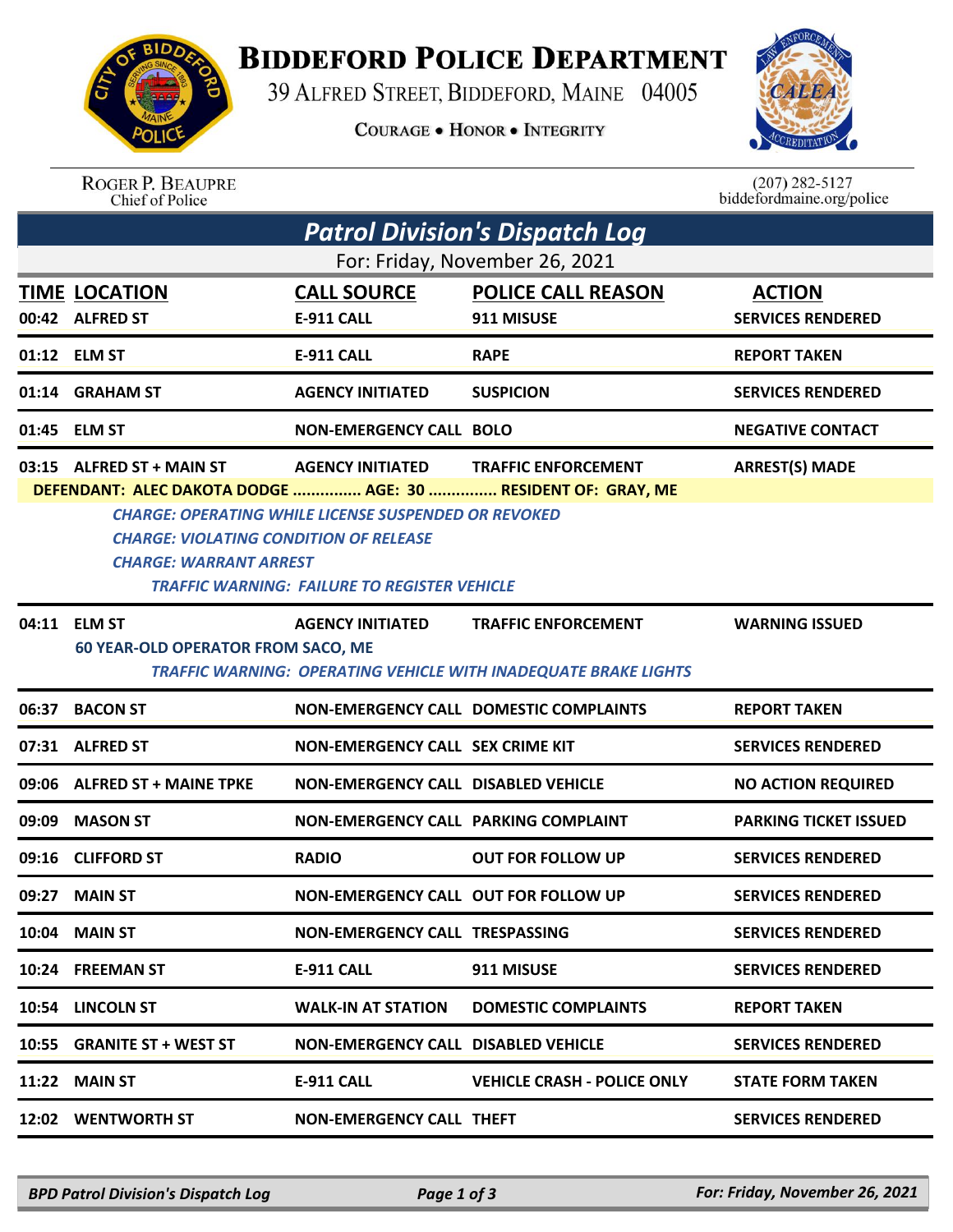## **BIDDEFORD POLICE DEPARTMENT**

39 ALFRED STREET, BIDDEFORD, MAINE 04005

**COURAGE . HONOR . INTEGRITY** 



ROGER P. BEAUPRE<br>Chief of Police

 $(207)$  282-5127<br>biddefordmaine.org/police

| Patrol Division's Dispatch Log<br>For: Friday, November 26, 2021 |                                                                                                                                                                             |                                                                                        |                                                                                                      |                              |  |  |  |  |
|------------------------------------------------------------------|-----------------------------------------------------------------------------------------------------------------------------------------------------------------------------|----------------------------------------------------------------------------------------|------------------------------------------------------------------------------------------------------|------------------------------|--|--|--|--|
|                                                                  |                                                                                                                                                                             |                                                                                        |                                                                                                      |                              |  |  |  |  |
|                                                                  | 01:12 ELM ST                                                                                                                                                                | <b>E-911 CALL</b>                                                                      | <b>RAPE</b>                                                                                          | <b>REPORT TAKEN</b>          |  |  |  |  |
|                                                                  | 01:14 GRAHAM ST                                                                                                                                                             | <b>AGENCY INITIATED</b>                                                                | <b>SUSPICION</b>                                                                                     | <b>SERVICES RENDERED</b>     |  |  |  |  |
|                                                                  | 01:45 ELM ST                                                                                                                                                                | <b>NON-EMERGENCY CALL BOLO</b>                                                         |                                                                                                      | <b>NEGATIVE CONTACT</b>      |  |  |  |  |
|                                                                  | 03:15 ALFRED ST + MAIN ST<br>DEFENDANT: ALEC DAKOTA DODGE  AGE: 30  RESIDENT OF: GRAY, ME<br><b>CHARGE: VIOLATING CONDITION OF RELEASE</b><br><b>CHARGE: WARRANT ARREST</b> | <b>AGENCY INITIATED</b><br><b>CHARGE: OPERATING WHILE LICENSE SUSPENDED OR REVOKED</b> | <b>TRAFFIC ENFORCEMENT</b>                                                                           | <b>ARREST(S) MADE</b>        |  |  |  |  |
| <b>TRAFFIC WARNING: FAILURE TO REGISTER VEHICLE</b>              |                                                                                                                                                                             |                                                                                        |                                                                                                      |                              |  |  |  |  |
|                                                                  | 04:11 ELM ST<br><b>60 YEAR-OLD OPERATOR FROM SACO, ME</b>                                                                                                                   | <b>AGENCY INITIATED</b>                                                                | <b>TRAFFIC ENFORCEMENT</b><br><b>TRAFFIC WARNING: OPERATING VEHICLE WITH INADEQUATE BRAKE LIGHTS</b> | <b>WARNING ISSUED</b>        |  |  |  |  |
| 06:37                                                            | <b>BACON ST</b>                                                                                                                                                             |                                                                                        | NON-EMERGENCY CALL DOMESTIC COMPLAINTS                                                               | <b>REPORT TAKEN</b>          |  |  |  |  |
|                                                                  | 07:31 ALFRED ST                                                                                                                                                             | NON-EMERGENCY CALL SEX CRIME KIT                                                       |                                                                                                      | <b>SERVICES RENDERED</b>     |  |  |  |  |
|                                                                  | 09:06 ALFRED ST + MAINE TPKE                                                                                                                                                | <b>NON-EMERGENCY CALL DISABLED VEHICLE</b>                                             |                                                                                                      | <b>NO ACTION REQUIRED</b>    |  |  |  |  |
| 09:09                                                            | <b>MASON ST</b>                                                                                                                                                             | NON-EMERGENCY CALL PARKING COMPLAINT                                                   |                                                                                                      | <b>PARKING TICKET ISSUED</b> |  |  |  |  |
|                                                                  | 09:16 CLIFFORD ST                                                                                                                                                           | <b>RADIO</b>                                                                           | <b>OUT FOR FOLLOW UP</b>                                                                             | <b>SERVICES RENDERED</b>     |  |  |  |  |
| 09:27                                                            | <b>MAIN ST</b>                                                                                                                                                              | NON-EMERGENCY CALL OUT FOR FOLLOW UP                                                   |                                                                                                      | <b>SERVICES RENDERED</b>     |  |  |  |  |
|                                                                  | <b>10:04 MAIN ST</b>                                                                                                                                                        | <b>NON-EMERGENCY CALL TRESPASSING</b>                                                  |                                                                                                      | <b>SERVICES RENDERED</b>     |  |  |  |  |
|                                                                  | 10:24 FREEMAN ST                                                                                                                                                            | <b>E-911 CALL</b>                                                                      | 911 MISUSE                                                                                           | <b>SERVICES RENDERED</b>     |  |  |  |  |
| 10:54                                                            | <b>LINCOLN ST</b>                                                                                                                                                           | <b>WALK-IN AT STATION</b>                                                              | <b>DOMESTIC COMPLAINTS</b>                                                                           | <b>REPORT TAKEN</b>          |  |  |  |  |
| 10:55                                                            | <b>GRANITE ST + WEST ST</b>                                                                                                                                                 | <b>NON-EMERGENCY CALL DISABLED VEHICLE</b>                                             |                                                                                                      | <b>SERVICES RENDERED</b>     |  |  |  |  |
| 11:22                                                            | <b>MAIN ST</b>                                                                                                                                                              | <b>E-911 CALL</b>                                                                      | <b>VEHICLE CRASH - POLICE ONLY</b>                                                                   | <b>STATE FORM TAKEN</b>      |  |  |  |  |
|                                                                  | 12:02 WENTWORTH ST                                                                                                                                                          | <b>NON-EMERGENCY CALL THEFT</b>                                                        |                                                                                                      | <b>SERVICES RENDERED</b>     |  |  |  |  |
|                                                                  |                                                                                                                                                                             |                                                                                        |                                                                                                      |                              |  |  |  |  |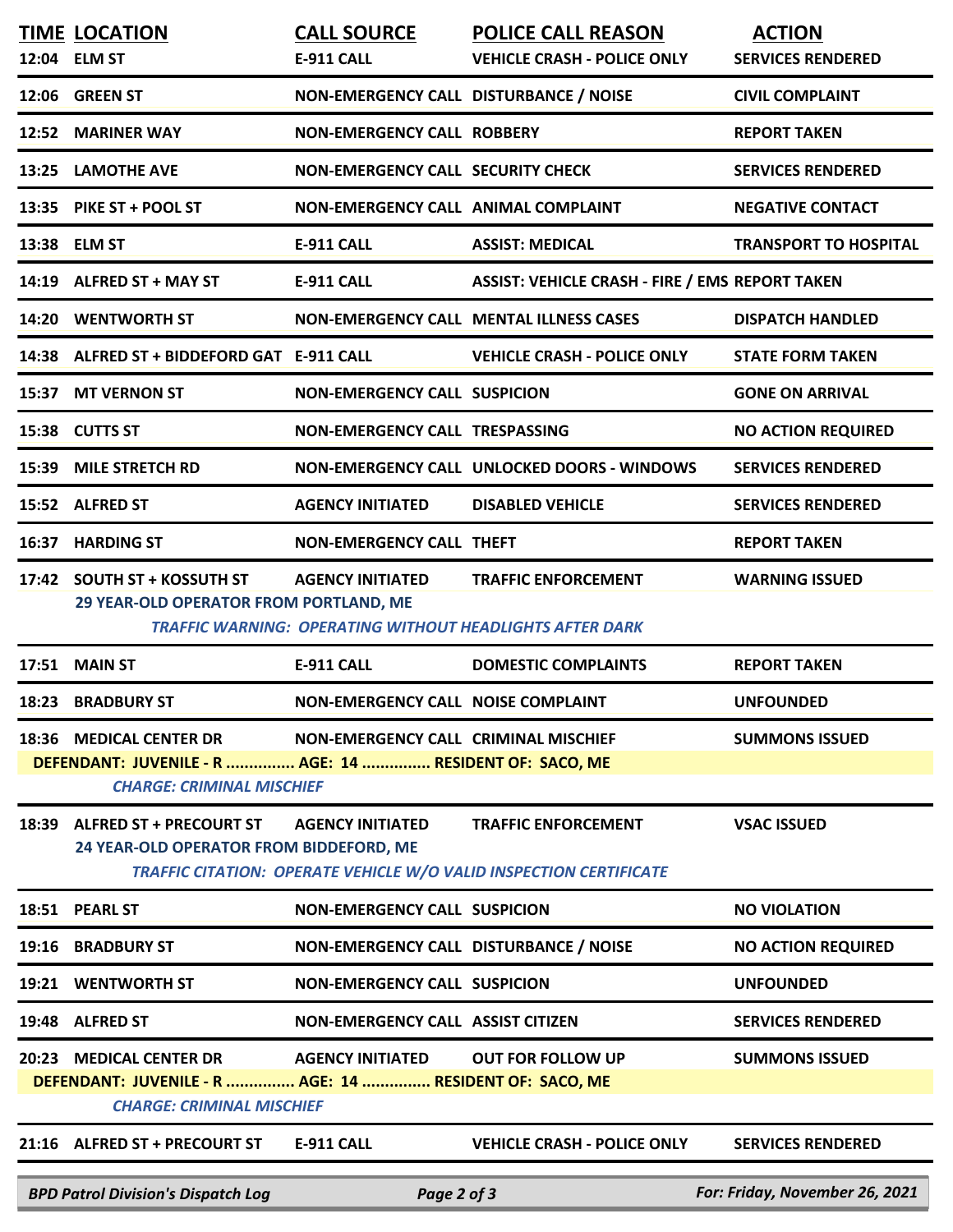|                                                                                             | <b>TIME LOCATION</b><br>12:04 ELM ST                                                                                   | <b>CALL SOURCE</b><br><b>E-911 CALL</b>   | <b>POLICE CALL REASON</b><br><b>VEHICLE CRASH - POLICE ONLY</b>                                         | <b>ACTION</b><br><b>SERVICES RENDERED</b> |  |  |  |
|---------------------------------------------------------------------------------------------|------------------------------------------------------------------------------------------------------------------------|-------------------------------------------|---------------------------------------------------------------------------------------------------------|-------------------------------------------|--|--|--|
|                                                                                             | 12:06 GREEN ST                                                                                                         | NON-EMERGENCY CALL DISTURBANCE / NOISE    |                                                                                                         | <b>CIVIL COMPLAINT</b>                    |  |  |  |
|                                                                                             | 12:52 MARINER WAY                                                                                                      | <b>NON-EMERGENCY CALL ROBBERY</b>         |                                                                                                         | <b>REPORT TAKEN</b>                       |  |  |  |
|                                                                                             | 13:25 LAMOTHE AVE                                                                                                      | <b>NON-EMERGENCY CALL SECURITY CHECK</b>  |                                                                                                         | <b>SERVICES RENDERED</b>                  |  |  |  |
|                                                                                             | 13:35 PIKE ST + POOL ST                                                                                                | NON-EMERGENCY CALL ANIMAL COMPLAINT       |                                                                                                         | <b>NEGATIVE CONTACT</b>                   |  |  |  |
|                                                                                             |                                                                                                                        |                                           | <b>ASSIST: MEDICAL</b>                                                                                  | <b>TRANSPORT TO HOSPITAL</b>              |  |  |  |
|                                                                                             | 13:38 ELM ST                                                                                                           | <b>E-911 CALL</b>                         |                                                                                                         |                                           |  |  |  |
|                                                                                             | 14:19 ALFRED ST + MAY ST                                                                                               | <b>E-911 CALL</b>                         | <b>ASSIST: VEHICLE CRASH - FIRE / EMS REPORT TAKEN</b>                                                  |                                           |  |  |  |
|                                                                                             | 14:20 WENTWORTH ST                                                                                                     |                                           | <b>NON-EMERGENCY CALL MENTAL ILLNESS CASES</b>                                                          | <b>DISPATCH HANDLED</b>                   |  |  |  |
|                                                                                             | 14:38 ALFRED ST + BIDDEFORD GAT E-911 CALL                                                                             |                                           | <b>VEHICLE CRASH - POLICE ONLY</b>                                                                      | <b>STATE FORM TAKEN</b>                   |  |  |  |
|                                                                                             | 15:37 MT VERNON ST                                                                                                     | <b>NON-EMERGENCY CALL SUSPICION</b>       |                                                                                                         | <b>GONE ON ARRIVAL</b>                    |  |  |  |
|                                                                                             | 15:38 CUTTS ST                                                                                                         | NON-EMERGENCY CALL TRESPASSING            |                                                                                                         | <b>NO ACTION REQUIRED</b>                 |  |  |  |
|                                                                                             | 15:39 MILE STRETCH RD                                                                                                  |                                           | NON-EMERGENCY CALL UNLOCKED DOORS - WINDOWS                                                             | <b>SERVICES RENDERED</b>                  |  |  |  |
|                                                                                             | 15:52 ALFRED ST                                                                                                        | <b>AGENCY INITIATED</b>                   | <b>DISABLED VEHICLE</b>                                                                                 | <b>SERVICES RENDERED</b>                  |  |  |  |
|                                                                                             | 16:37 HARDING ST                                                                                                       | <b>NON-EMERGENCY CALL THEFT</b>           |                                                                                                         | <b>REPORT TAKEN</b>                       |  |  |  |
|                                                                                             | 17:42 SOUTH ST + KOSSUTH ST<br>29 YEAR-OLD OPERATOR FROM PORTLAND, ME                                                  | <b>AGENCY INITIATED</b>                   | <b>TRAFFIC ENFORCEMENT</b><br><b>TRAFFIC WARNING: OPERATING WITHOUT HEADLIGHTS AFTER DARK</b>           | <b>WARNING ISSUED</b>                     |  |  |  |
|                                                                                             | 17:51 MAIN ST                                                                                                          | <b>E-911 CALL</b>                         | <b>DOMESTIC COMPLAINTS</b>                                                                              | <b>REPORT TAKEN</b>                       |  |  |  |
|                                                                                             | 18:23 BRADBURY ST                                                                                                      | <b>NON-EMERGENCY CALL NOISE COMPLAINT</b> |                                                                                                         | <b>UNFOUNDED</b>                          |  |  |  |
|                                                                                             | 18:36 MEDICAL CENTER DR                                                                                                | NON-EMERGENCY CALL CRIMINAL MISCHIEF      |                                                                                                         | <b>SUMMONS ISSUED</b>                     |  |  |  |
| DEFENDANT: JUVENILE - R  AGE: 14  RESIDENT OF: SACO, ME<br><b>CHARGE: CRIMINAL MISCHIEF</b> |                                                                                                                        |                                           |                                                                                                         |                                           |  |  |  |
|                                                                                             | 18:39 ALFRED ST + PRECOURT ST<br>24 YEAR-OLD OPERATOR FROM BIDDEFORD, ME                                               | <b>AGENCY INITIATED</b>                   | <b>TRAFFIC ENFORCEMENT</b><br><b>TRAFFIC CITATION: OPERATE VEHICLE W/O VALID INSPECTION CERTIFICATE</b> | <b>VSAC ISSUED</b>                        |  |  |  |
|                                                                                             | 18:51 PEARL ST                                                                                                         | <b>NON-EMERGENCY CALL SUSPICION</b>       |                                                                                                         | <b>NO VIOLATION</b>                       |  |  |  |
| 19:16                                                                                       | <b>BRADBURY ST</b>                                                                                                     | NON-EMERGENCY CALL DISTURBANCE / NOISE    |                                                                                                         | <b>NO ACTION REQUIRED</b>                 |  |  |  |
|                                                                                             | 19:21 WENTWORTH ST                                                                                                     | <b>NON-EMERGENCY CALL SUSPICION</b>       |                                                                                                         | <b>UNFOUNDED</b>                          |  |  |  |
|                                                                                             | 19:48 ALFRED ST                                                                                                        | <b>NON-EMERGENCY CALL ASSIST CITIZEN</b>  |                                                                                                         | <b>SERVICES RENDERED</b>                  |  |  |  |
|                                                                                             | 20:23 MEDICAL CENTER DR<br>DEFENDANT: JUVENILE - R  AGE: 14  RESIDENT OF: SACO, ME<br><b>CHARGE: CRIMINAL MISCHIEF</b> | <b>AGENCY INITIATED</b>                   | <b>OUT FOR FOLLOW UP</b>                                                                                | <b>SUMMONS ISSUED</b>                     |  |  |  |
|                                                                                             | 21:16 ALFRED ST + PRECOURT ST                                                                                          | <b>E-911 CALL</b>                         | <b>VEHICLE CRASH - POLICE ONLY</b>                                                                      | <b>SERVICES RENDERED</b>                  |  |  |  |
|                                                                                             | <b>BPD Patrol Division's Dispatch Log</b>                                                                              | Page 2 of 3                               |                                                                                                         | For: Friday, November 26, 2021            |  |  |  |